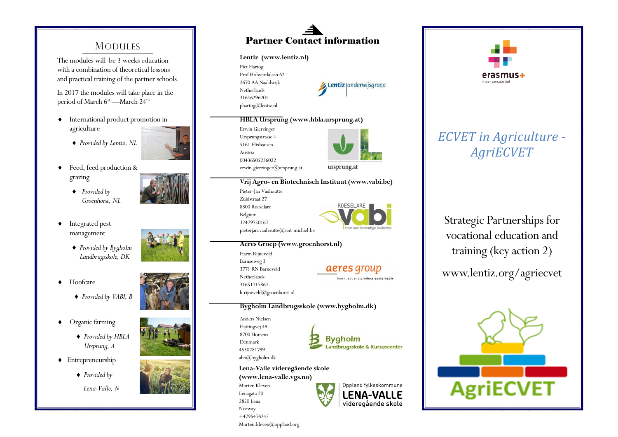# **MODULES**

The modules will be 3 weeks education with a combination of theoretical lessons and practical training of the partner schools.

In 2017 the modules will take place in the period of March 6<sup>st</sup> —March 24<sup>th</sup>

- International product promotion in agriculture
	- *Provided by Lentiz, NL*



- ◆ Feed, feed production & grazing
	- *Provided by Groenhorst, NL*
- $\bullet$  Integrated pest management
	- *Provided by Bygholm Landbrugsskole, DK*
- ◆ Hoofcare



- Organic farming
	- *Provided by HBLA Ursprung, A*
- Entrepreneurship
	- *Provided by*
	- *Lena -Valle, N*



#### **Lentiz (www.lentiz.nl)**

Piet Hartog Prof Holwerdalaan 62 2670 AA Naaldwijk Netherlands 31646296201 phartog@lentiz.nl



#### **HBLA Ursprung (www.hbla.ursprung.at)**

Erwin Gierzinger Ursprungstrasse 4 5161 Elixhausen Austria 00436505236022 erwin.gierzinger@ursprung.at



# **Vrij Agro - en Biotechnisch Instituut (www.vabi.be)**

Pieter -Jan Vanhoutte Zuidstraat 27 8800 Roeselare Belgium 32479750167



### **Aeres Groep (www.groenhorst.nl)**

Harm Rijneveld Barnseweg 3 3771 RN Barneveld Netherlands 31651715867 h.rijneveld@groenhorst.nl

aeres group

learn, act and produce sustainably

### **Bygholm Landbrugsskole (www.bygholm.dk)**

Anders Nielsen Hattingvej 49 8700 Horsens Denmark 4530281799 ahn@bygholm.dk



#### **Lena -Valle videregående skole (www.lena -valle.vgs.no)**

Morten Kleven Lenagata 20 2850 Lena Norway +4795476242 Morten.kleven@oppland.org





# *ECVET in Agriculture - AgriECVET*

Strategic Partnerships for vocational education and training (key action 2)

www.lentiz.org/agriecvet











- 
-